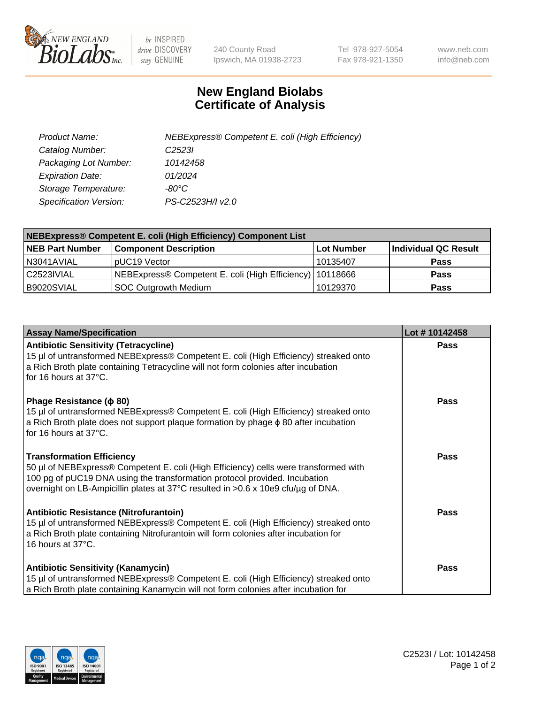

 $be$  INSPIRED drive DISCOVERY stay GENUINE

240 County Road Ipswich, MA 01938-2723 Tel 978-927-5054 Fax 978-921-1350 www.neb.com info@neb.com

## **New England Biolabs Certificate of Analysis**

| Product Name:           | NEBExpress® Competent E. coli (High Efficiency) |
|-------------------------|-------------------------------------------------|
| Catalog Number:         | C <sub>2523</sub>                               |
| Packaging Lot Number:   | 10142458                                        |
| <b>Expiration Date:</b> | 01/2024                                         |
| Storage Temperature:    | -80°C                                           |
| Specification Version:  | PS-C2523H/I v2.0                                |

| NEBExpress® Competent E. coli (High Efficiency) Component List |                                                            |            |                      |  |
|----------------------------------------------------------------|------------------------------------------------------------|------------|----------------------|--|
| <b>NEB Part Number</b>                                         | <b>Component Description</b>                               | Lot Number | Individual QC Result |  |
| N3041AVIAL                                                     | pUC19 Vector                                               | l 10135407 | <b>Pass</b>          |  |
| C2523IVIAL                                                     | NEBExpress® Competent E. coli (High Efficiency)   10118666 |            | <b>Pass</b>          |  |
| B9020SVIAL                                                     | <b>SOC Outgrowth Medium</b>                                | 10129370   | <b>Pass</b>          |  |

| <b>Assay Name/Specification</b>                                                                                                                                                                                                                                                            | Lot #10142458 |
|--------------------------------------------------------------------------------------------------------------------------------------------------------------------------------------------------------------------------------------------------------------------------------------------|---------------|
| <b>Antibiotic Sensitivity (Tetracycline)</b><br>15 µl of untransformed NEBExpress® Competent E. coli (High Efficiency) streaked onto<br>a Rich Broth plate containing Tetracycline will not form colonies after incubation<br>for 16 hours at 37°C.                                        | <b>Pass</b>   |
| Phage Resistance ( $\phi$ 80)<br>15 µl of untransformed NEBExpress® Competent E. coli (High Efficiency) streaked onto<br>a Rich Broth plate does not support plaque formation by phage $\phi$ 80 after incubation<br>for 16 hours at 37°C.                                                 | Pass          |
| <b>Transformation Efficiency</b><br>50 µl of NEBExpress® Competent E. coli (High Efficiency) cells were transformed with<br>100 pg of pUC19 DNA using the transformation protocol provided. Incubation<br>overnight on LB-Ampicillin plates at 37°C resulted in >0.6 x 10e9 cfu/µg of DNA. | Pass          |
| Antibiotic Resistance (Nitrofurantoin)<br>15 µl of untransformed NEBExpress® Competent E. coli (High Efficiency) streaked onto<br>a Rich Broth plate containing Nitrofurantoin will form colonies after incubation for<br>16 hours at 37°C.                                                | Pass          |
| <b>Antibiotic Sensitivity (Kanamycin)</b><br>15 µl of untransformed NEBExpress® Competent E. coli (High Efficiency) streaked onto<br>a Rich Broth plate containing Kanamycin will not form colonies after incubation for                                                                   | Pass          |